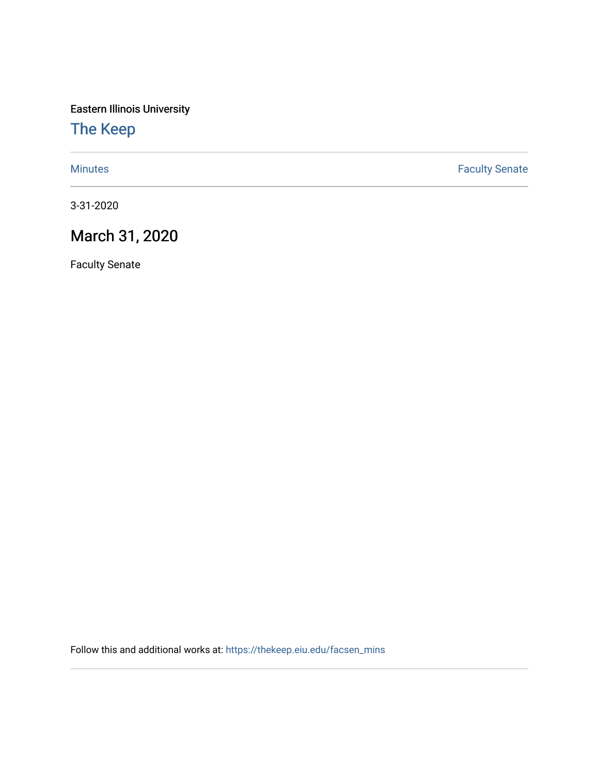Eastern Illinois University

# [The Keep](https://thekeep.eiu.edu/)

[Minutes](https://thekeep.eiu.edu/facsen_mins) **Faculty Senate** 

3-31-2020

# March 31, 2020

Faculty Senate

Follow this and additional works at: [https://thekeep.eiu.edu/facsen\\_mins](https://thekeep.eiu.edu/facsen_mins?utm_source=thekeep.eiu.edu%2Ffacsen_mins%2F1135&utm_medium=PDF&utm_campaign=PDFCoverPages)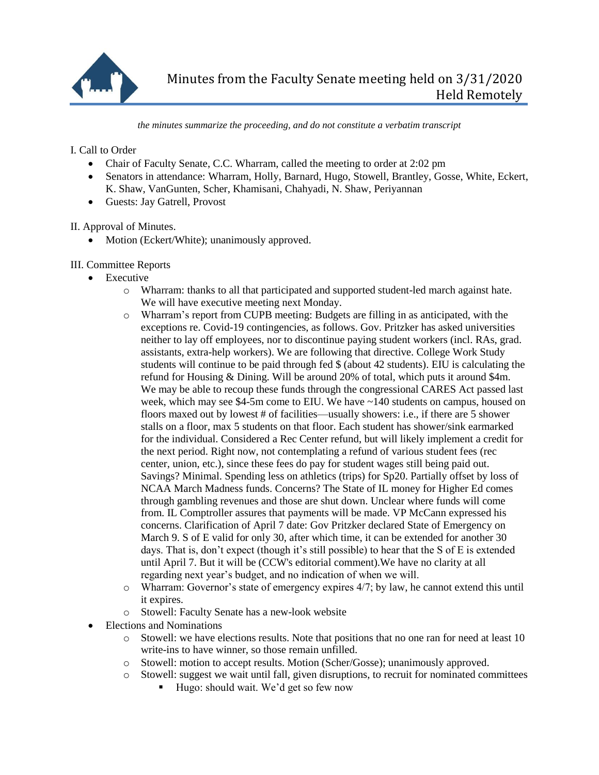

*the minutes summarize the proceeding, and do not constitute a verbatim transcript*

I. Call to Order

- Chair of Faculty Senate, C.C. Wharram, called the meeting to order at 2:02 pm
- Senators in attendance: Wharram, Holly, Barnard, Hugo, Stowell, Brantley, Gosse, White, Eckert, K. Shaw, VanGunten, Scher, Khamisani, Chahyadi, N. Shaw, Periyannan
- Guests: Jay Gatrell, Provost

II. Approval of Minutes.

• Motion (Eckert/White); unanimously approved.

### III. Committee Reports

- Executive
	- o Wharram: thanks to all that participated and supported student-led march against hate. We will have executive meeting next Monday.
	- o Wharram's report from CUPB meeting: Budgets are filling in as anticipated, with the exceptions re. Covid-19 contingencies, as follows. Gov. Pritzker has asked universities neither to lay off employees, nor to discontinue paying student workers (incl. RAs, grad. assistants, extra-help workers). We are following that directive. College Work Study students will continue to be paid through fed \$ (about 42 students). EIU is calculating the refund for Housing & Dining. Will be around 20% of total, which puts it around \$4m. We may be able to recoup these funds through the congressional CARES Act passed last week, which may see  $$4-5m$  come to EIU. We have  $~140$  students on campus, housed on floors maxed out by lowest # of facilities—usually showers: i.e., if there are 5 shower stalls on a floor, max 5 students on that floor. Each student has shower/sink earmarked for the individual. Considered a Rec Center refund, but will likely implement a credit for the next period. Right now, not contemplating a refund of various student fees (rec center, union, etc.), since these fees do pay for student wages still being paid out. Savings? Minimal. Spending less on athletics (trips) for Sp20. Partially offset by loss of NCAA March Madness funds. Concerns? The State of IL money for Higher Ed comes through gambling revenues and those are shut down. Unclear where funds will come from. IL Comptroller assures that payments will be made. VP McCann expressed his concerns. Clarification of April 7 date: Gov Pritzker declared State of Emergency on March 9. S of E valid for only 30, after which time, it can be extended for another 30 days. That is, don't expect (though it's still possible) to hear that the S of E is extended until April 7. But it will be (CCW's editorial comment).We have no clarity at all regarding next year's budget, and no indication of when we will.
	- o Wharram: Governor's state of emergency expires 4/7; by law, he cannot extend this until it expires.
	- o Stowell: Faculty Senate has a new-look website
- Elections and Nominations
	- $\circ$  Stowell: we have elections results. Note that positions that no one ran for need at least 10 write-ins to have winner, so those remain unfilled.
	- o Stowell: motion to accept results. Motion (Scher/Gosse); unanimously approved.
	- o Stowell: suggest we wait until fall, given disruptions, to recruit for nominated committees
		- Hugo: should wait. We'd get so few now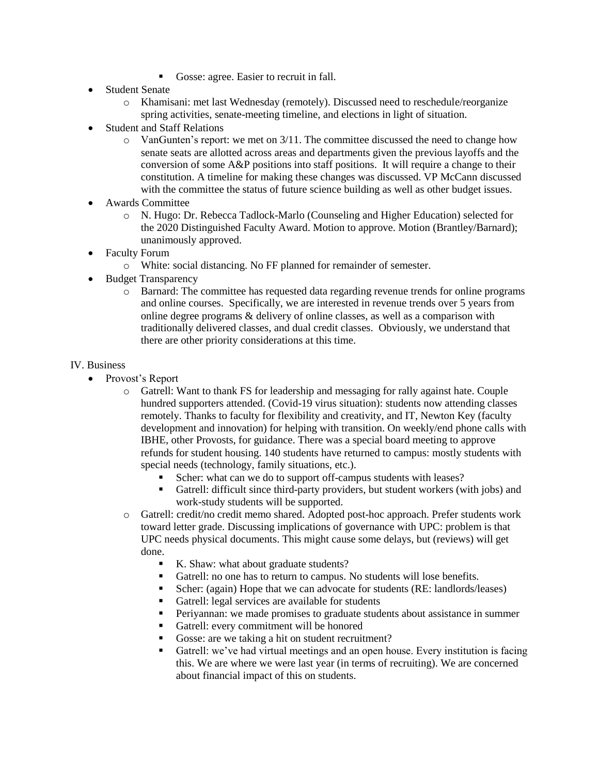- Gosse: agree. Easier to recruit in fall.
- Student Senate
	- o Khamisani: met last Wednesday (remotely). Discussed need to reschedule/reorganize spring activities, senate-meeting timeline, and elections in light of situation.
- Student and Staff Relations
	- $\circ$  VanGunten's report: we met on 3/11. The committee discussed the need to change how senate seats are allotted across areas and departments given the previous layoffs and the conversion of some A&P positions into staff positions. It will require a change to their constitution. A timeline for making these changes was discussed. VP McCann discussed with the committee the status of future science building as well as other budget issues.
- Awards Committee
	- o N. Hugo: Dr. Rebecca Tadlock-Marlo (Counseling and Higher Education) selected for the 2020 Distinguished Faculty Award. Motion to approve. Motion (Brantley/Barnard); unanimously approved.
- Faculty Forum
	- o White: social distancing. No FF planned for remainder of semester.
- Budget Transparency
	- o Barnard: The committee has requested data regarding revenue trends for online programs and online courses. Specifically, we are interested in revenue trends over 5 years from online degree programs & delivery of online classes, as well as a comparison with traditionally delivered classes, and dual credit classes. Obviously, we understand that there are other priority considerations at this time.

#### IV. Business

- Provost's Report
	- o Gatrell: Want to thank FS for leadership and messaging for rally against hate. Couple hundred supporters attended. (Covid-19 virus situation): students now attending classes remotely. Thanks to faculty for flexibility and creativity, and IT, Newton Key (faculty development and innovation) for helping with transition. On weekly/end phone calls with IBHE, other Provosts, for guidance. There was a special board meeting to approve refunds for student housing. 140 students have returned to campus: mostly students with special needs (technology, family situations, etc.).
		- Scher: what can we do to support off-campus students with leases?
		- Gatrell: difficult since third-party providers, but student workers (with jobs) and work-study students will be supported.
	- o Gatrell: credit/no credit memo shared. Adopted post-hoc approach. Prefer students work toward letter grade. Discussing implications of governance with UPC: problem is that UPC needs physical documents. This might cause some delays, but (reviews) will get done.
		- K. Shaw: what about graduate students?
		- Gatrell: no one has to return to campus. No students will lose benefits.
		- Scher: (again) Hope that we can advocate for students (RE: landlords/leases)
		- Gatrell: legal services are available for students
		- **Periyannan:** we made promises to graduate students about assistance in summer
		- Gatrell: every commitment will be honored
		- Gosse: are we taking a hit on student recruitment?
		- Gatrell: we've had virtual meetings and an open house. Every institution is facing this. We are where we were last year (in terms of recruiting). We are concerned about financial impact of this on students.